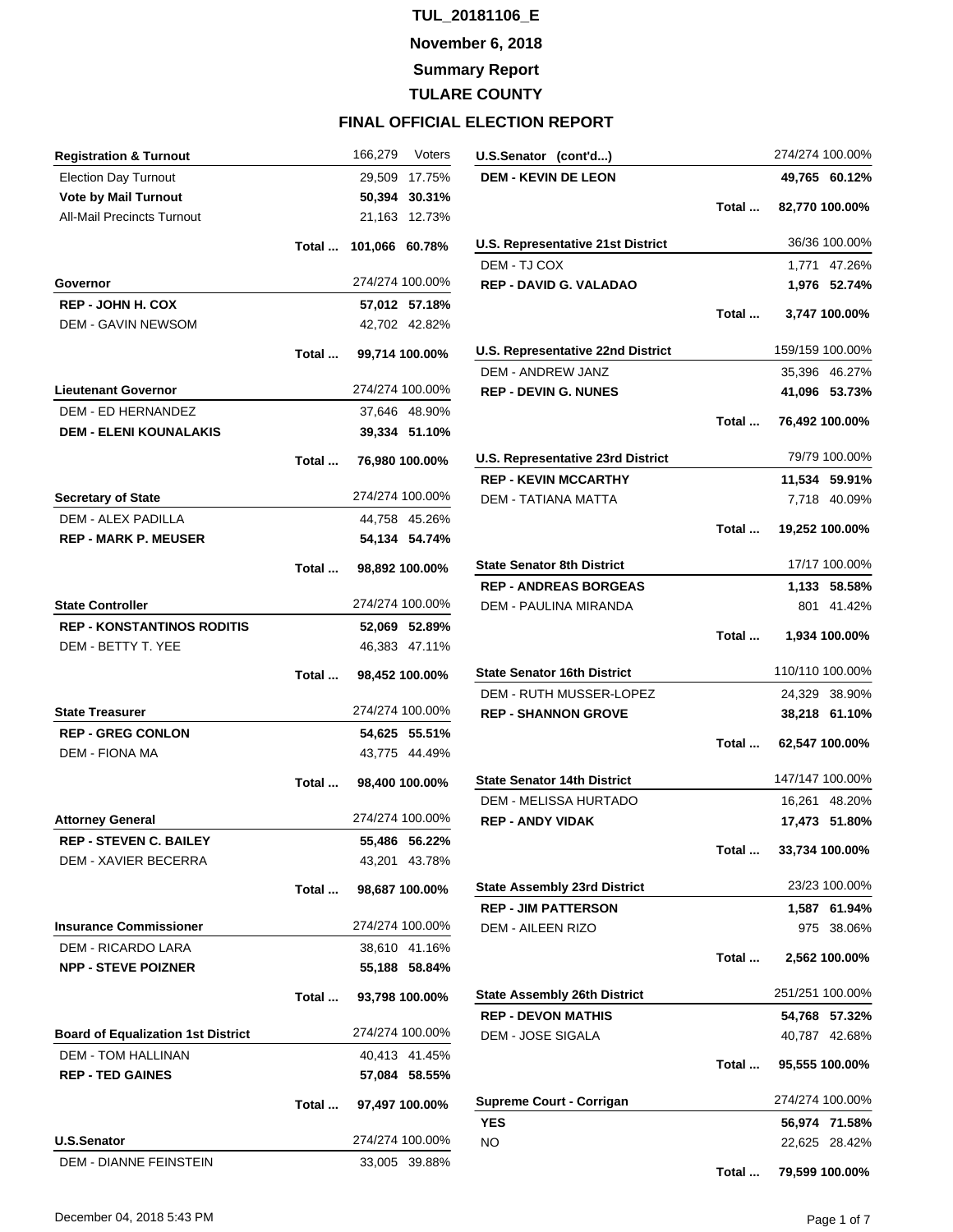**November 6, 2018**

**Summary Report**

**TULARE COUNTY**

| <b>Registration &amp; Turnout</b>                                      |       | 166,279<br>Voters              |
|------------------------------------------------------------------------|-------|--------------------------------|
| <b>Election Day Turnout</b>                                            |       | 29,509 17.75%                  |
| <b>Vote by Mail Turnout</b>                                            |       | 50,394<br>30.31%               |
| <b>All-Mail Precincts Turnout</b>                                      |       | 21,163 12.73%                  |
|                                                                        | Total | 101,066 60.78%                 |
| Governor                                                               |       | 274/274 100.00%                |
| <b>REP - JOHN H. COX</b>                                               |       | 57,012 57.18%                  |
| <b>DEM - GAVIN NEWSOM</b>                                              |       | 42,702 42.82%                  |
|                                                                        | Total | 99,714 100.00%                 |
|                                                                        |       |                                |
| <b>Lieutenant Governor</b>                                             |       | 274/274 100.00%                |
| <b>DEM - ED HERNANDEZ</b>                                              |       | 37,646 48.90%                  |
| <b>DEM - ELENI KOUNALAKIS</b>                                          |       | 39,334 51.10%                  |
|                                                                        | Total | 76,980 100.00%                 |
| <b>Secretary of State</b>                                              |       | 274/274 100.00%                |
| <b>DEM - ALEX PADILLA</b>                                              |       | 44,758 45.26%                  |
| <b>REP - MARK P. MEUSER</b>                                            |       | 54,134 54.74%                  |
|                                                                        | Total | 98,892 100.00%                 |
| <b>State Controller</b>                                                |       | 274/274 100.00%                |
| <b>REP - KONSTANTINOS RODITIS</b>                                      |       | 52,069 52.89%                  |
| DEM - BETTY T. YEE                                                     |       | 46,383 47.11%                  |
|                                                                        |       |                                |
|                                                                        | Total | 98,452 100.00%                 |
| <b>State Treasurer</b>                                                 |       | 274/274 100.00%                |
| <b>REP - GREG CONLON</b>                                               |       | 54,625 55.51%                  |
| <b>DEM - FIONA MA</b>                                                  |       | 43,775 44.49%                  |
|                                                                        | Total | 98,400 100.00%                 |
|                                                                        |       | 274/274 100.00%                |
| <b>Attorney General</b>                                                |       |                                |
| <b>REP - STEVEN C. BAILEY</b><br>DEM - XAVIER BECERRA                  |       | 55.486 56.22%<br>43,201 43.78% |
|                                                                        | Total | 98,687 100.00%                 |
|                                                                        |       |                                |
| <b>Insurance Commissioner</b>                                          |       | 274/274 100.00%                |
| DEM - RICARDO LARA<br><b>NPP - STEVE POIZNER</b>                       |       | 38,610 41.16%<br>55,188 58.84% |
|                                                                        | Total | 93,798 100.00%                 |
|                                                                        |       | 274/274 100.00%                |
| <b>Board of Equalization 1st District</b><br><b>DEM - TOM HALLINAN</b> |       |                                |
| <b>REP - TED GAINES</b>                                                |       | 40,413 41.45%<br>57,084 58.55% |
|                                                                        |       | Total  97,497 100.00%          |
| <b>U.S.Senator</b>                                                     |       | 274/274 100.00%                |
| DEM - DIANNE FEINSTEIN                                                 |       | 33,005 39.88%                  |

| U.S.Senator (cont'd)                     |       | 274/274 100.00%       |
|------------------------------------------|-------|-----------------------|
| <b>DEM - KEVIN DE LEON</b>               |       | 49,765 60.12%         |
|                                          |       | Total  82,770 100.00% |
| <b>U.S. Representative 21st District</b> |       | 36/36 100.00%         |
| DEM - TJ COX                             |       | 1,771 47.26%          |
| <b>REP - DAVID G. VALADAO</b>            |       | 1,976 52.74%          |
|                                          | Total | 3,747 100.00%         |
| U.S. Representative 22nd District        |       | 159/159 100.00%       |
| <b>DEM - ANDREW JANZ</b>                 |       | 35,396 46.27%         |
| <b>REP - DEVIN G. NUNES</b>              |       | 41,096 53.73%         |
|                                          |       | Total  76,492 100.00% |
| <b>U.S. Representative 23rd District</b> |       | 79/79 100.00%         |
| <b>REP - KEVIN MCCARTHY</b>              |       | 11,534 59.91%         |
| <b>DEM - TATIANA MATTA</b>               |       | 7,718 40.09%          |
|                                          |       | Total  19,252 100.00% |
| <b>State Senator 8th District</b>        |       | 17/17 100.00%         |
| <b>REP - ANDREAS BORGEAS</b>             |       | 1,133 58.58%          |
| DEM - PAULINA MIRANDA                    |       | 801 41.42%            |
|                                          | Total | 1,934 100.00%         |
| <b>State Senator 16th District</b>       |       | 110/110 100.00%       |
| DEM - RUTH MUSSER-LOPEZ                  |       | 24,329 38.90%         |
| <b>REP - SHANNON GROVE</b>               |       | 38,218 61.10%         |
|                                          |       | Total  62,547 100.00% |
| <b>State Senator 14th District</b>       |       | 147/147 100.00%       |
| DEM - MELISSA HURTADO                    |       | 16,261 48.20%         |
| <b>REP - ANDY VIDAK</b>                  |       | 17,473 51.80%         |
|                                          | Total | 33,734 100.00%        |
| <b>State Assembly 23rd District</b>      |       | 23/23 100.00%         |
| <b>REP - JIM PATTERSON</b>               |       | 1,587 61.94%          |
| <b>DEM - AILEEN RIZO</b>                 |       | 975<br>38.06%         |
|                                          | Total | 2,562 100.00%         |
| <b>State Assembly 26th District</b>      |       | 251/251 100.00%       |
| <b>REP - DEVON MATHIS</b>                |       | 54,768 57.32%         |
| DEM - JOSE SIGALA                        |       | 40,787 42.68%         |
|                                          |       | Total  95,555 100.00% |
| <b>Supreme Court - Corrigan</b>          |       | 274/274 100.00%       |
| <b>YES</b>                               |       | 56,974 71.58%         |
| ΝO                                       |       | 22,625 28.42%         |
|                                          | Total | 79,599 100.00%        |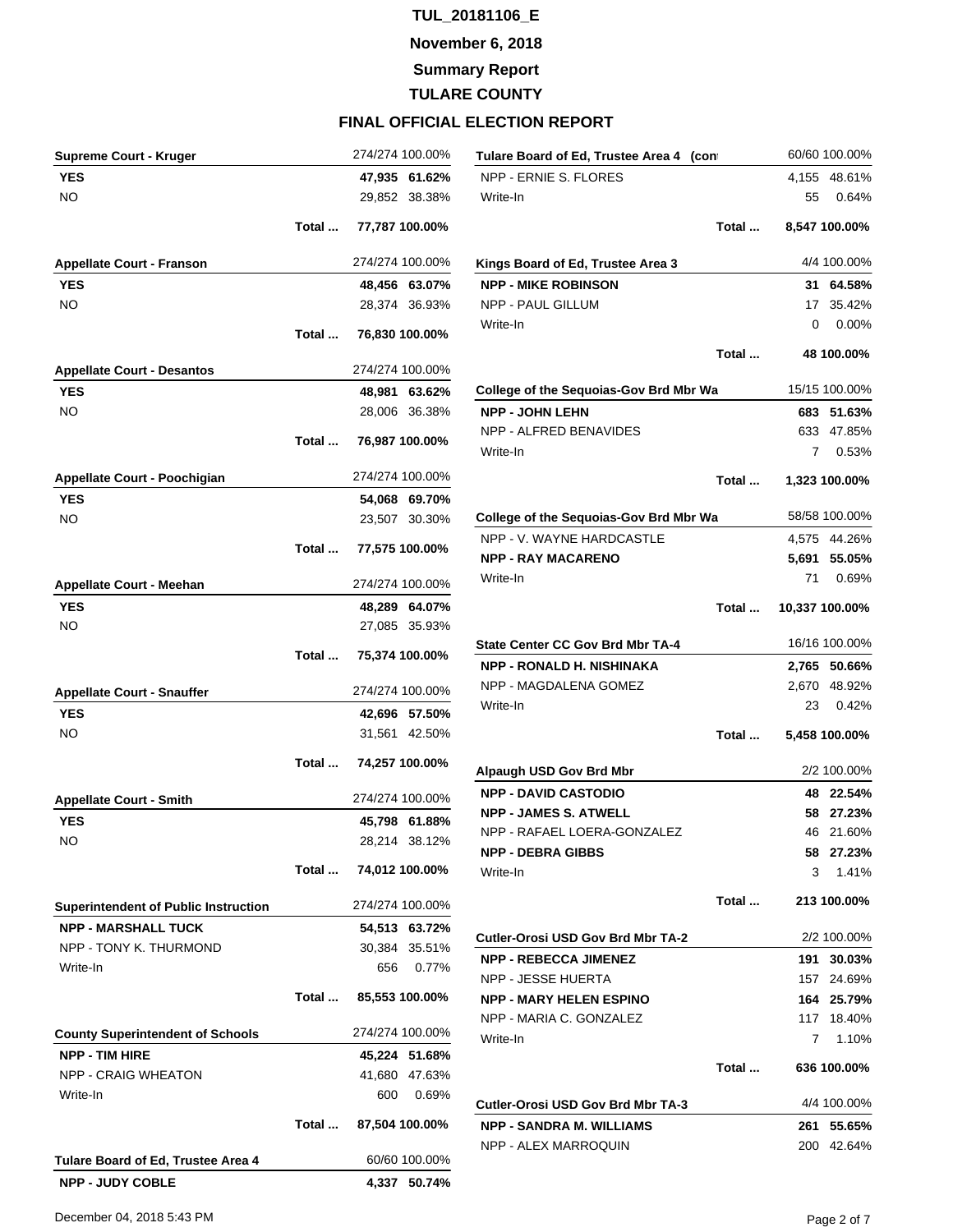**November 6, 2018**

**Summary Report**

**TULARE COUNTY**

#### **FINAL OFFICIAL ELECTION REPORT**

| <b>Supreme Court - Kruger</b>               |       | 274/274 100.00%                | Tulare Board of Ed, Trustee Area 4 (con                              |       |
|---------------------------------------------|-------|--------------------------------|----------------------------------------------------------------------|-------|
| <b>YES</b>                                  |       | 47,935 61.62%                  | NPP - ERNIE S. FLORES                                                |       |
| <b>NO</b>                                   |       | 29,852 38.38%                  | Write-In                                                             |       |
|                                             | Total | 77,787 100.00%                 |                                                                      | Total |
| <b>Appellate Court - Franson</b>            |       | 274/274 100.00%                | Kings Board of Ed, Trustee Area 3                                    |       |
| <b>YES</b>                                  |       | 48,456 63.07%                  | <b>NPP - MIKE ROBINSON</b>                                           |       |
| <b>NO</b>                                   |       | 28,374 36.93%                  | NPP - PAUL GILLUM                                                    |       |
|                                             | Total | 76,830 100.00%                 | Write-In                                                             |       |
|                                             |       |                                |                                                                      | Total |
| <b>Appellate Court - Desantos</b>           |       | 274/274 100.00%                |                                                                      |       |
| <b>YES</b>                                  |       | 48,981 63.62%                  | <b>College of the Sequoias-Gov Brd Mbr Wa</b>                        |       |
| <b>NO</b>                                   |       | 28,006 36.38%                  | <b>NPP - JOHN LEHN</b>                                               |       |
|                                             | Total | 76,987 100.00%                 | NPP - ALFRED BENAVIDES                                               |       |
|                                             |       |                                | Write-In                                                             |       |
| Appellate Court - Poochigian                |       | 274/274 100.00%                |                                                                      | Total |
| <b>YES</b>                                  |       | 54,068 69.70%                  |                                                                      |       |
| NO.                                         |       | 23,507 30.30%                  | College of the Sequoias-Gov Brd Mbr Wa                               |       |
|                                             | Total | 77,575 100.00%                 | NPP - V. WAYNE HARDCASTLE                                            |       |
|                                             |       |                                | <b>NPP - RAY MACARENO</b>                                            |       |
| <b>Appellate Court - Meehan</b>             |       | 274/274 100.00%                | Write-In                                                             |       |
| <b>YES</b>                                  |       | 48,289 64.07%                  |                                                                      | Total |
| NO.                                         |       | 27,085 35.93%                  |                                                                      |       |
|                                             | Total | 75,374 100.00%                 | <b>State Center CC Gov Brd Mbr TA-4</b>                              |       |
|                                             |       |                                | NPP - RONALD H. NISHINAKA                                            |       |
| <b>Appellate Court - Snauffer</b>           |       | 274/274 100.00%                | NPP - MAGDALENA GOMEZ                                                |       |
| <b>YES</b>                                  |       | 42,696 57.50%                  | Write-In                                                             |       |
| NO.                                         |       | 31,561 42.50%                  |                                                                      | Total |
|                                             | Total | 74,257 100.00%                 | Alpaugh USD Gov Brd Mbr                                              |       |
|                                             |       | 274/274 100.00%                | <b>NPP - DAVID CASTODIO</b>                                          |       |
| <b>Appellate Court - Smith</b>              |       |                                | <b>NPP - JAMES S. ATWELL</b>                                         |       |
| YES<br>NO.                                  |       | 45,798 61.88%<br>28,214 38.12% | NPP - RAFAEL LOERA-GONZALEZ                                          |       |
|                                             |       |                                | <b>NPP - DEBRA GIBBS</b>                                             |       |
|                                             | Total | 74,012 100.00%                 | Write-In                                                             |       |
| <b>Superintendent of Public Instruction</b> |       | 274/274 100.00%                |                                                                      | Total |
| <b>NPP - MARSHALL TUCK</b>                  |       | 54,513 63.72%                  |                                                                      |       |
| NPP - TONY K. THURMOND                      |       | 30,384 35.51%                  | Cutler-Orosi USD Gov Brd Mbr TA-2                                    |       |
| Write-In                                    |       | 656<br>0.77%                   | <b>NPP - REBECCA JIMENEZ</b>                                         |       |
|                                             | Total |                                | NPP - JESSE HUERTA                                                   |       |
|                                             |       | 85,553 100.00%                 | <b>NPP - MARY HELEN ESPINO</b><br>NPP - MARIA C. GONZALEZ            |       |
| <b>County Superintendent of Schools</b>     |       | 274/274 100.00%                | Write-In                                                             |       |
| <b>NPP - TIM HIRE</b>                       |       | 45,224 51.68%                  |                                                                      |       |
| <b>NPP - CRAIG WHEATON</b>                  |       | 41,680 47.63%                  |                                                                      | Total |
| Write-In                                    |       | 600<br>0.69%                   |                                                                      |       |
|                                             | Total | 87,504 100.00%                 | Cutler-Orosi USD Gov Brd Mbr TA-3<br><b>NPP - SANDRA M. WILLIAMS</b> |       |
|                                             |       |                                | NPP - ALEX MARROQUIN                                                 |       |
| Tulare Board of Ed, Trustee Area 4          |       | 60/60 100.00%                  |                                                                      |       |
| <b>NPP - JUDY COBLE</b>                     |       | 4,337 50.74%                   |                                                                      |       |

December 04, 2018 5:43 PM Page 2 of 7

**Cutler-Orosi USD Gov Brd Mbr TA-3** 4/4 100.00% **NPP - SANDRA M. WILLIAMS 261 55.65%** 200 42.64%

**Tulare Board of Ed, Trustee Area 4 (cont** 60/60 100.00% 4,155 48.61% 55 0.64% **Total ... 8,547 100.00%**

> **Kings Board of Ed, Trustee Area 3** 4/4 100.00% **NPP - MIKE ROBINSON 31 64.58%** 17 35.42%  $0.00\%$ **Total ... 48 100.00%**

**College of the Sequoias-Gov Brd Mbr Wa** 15/15 100.00% **NPP - JOHN LEHN 683 51.63%** 633 47.85% 7 0.53%

**Total ... 1,323 100.00%**

**College of the Sequoias-Gov Brd Mbr Wa** 58/58 100.00% 4,575 44.26% **NPP - RAY MACARENO 5,691 55.05%** 71 0.69%

**Total ... 10,337 100.00%**

**State Center CC Gov Brd Mbr TA-4** 16/16 100.00% **NPP - RONALD H. NISHINAKA 2,765 50.66%** 2,670 48.92% 23 0.42%

**Total ... 5,458 100.00%**

**Alpaugh USD Gov Brd Mbr** 2/2 100.00% **NPP - DAVID CASTODIO 48 22.54% NPP - JAMES S. ATWELL 58 27.23%** 46 21.60% **NPP - DEBRA GIBBS 58 27.23%**  $3$  1.41% **Total ... 213 100.00%**

**Cutler-Orosi USD Gov Brd Mbr TA-2** 2/2 100.00% **NPP - REBECCA JIMENEZ 191 30.03%** 157 24.69% **NPP - MARY HELEN ESPINO 164 25.79%** 117 18.40% 7 1.10% **Total ... 636 100.00%**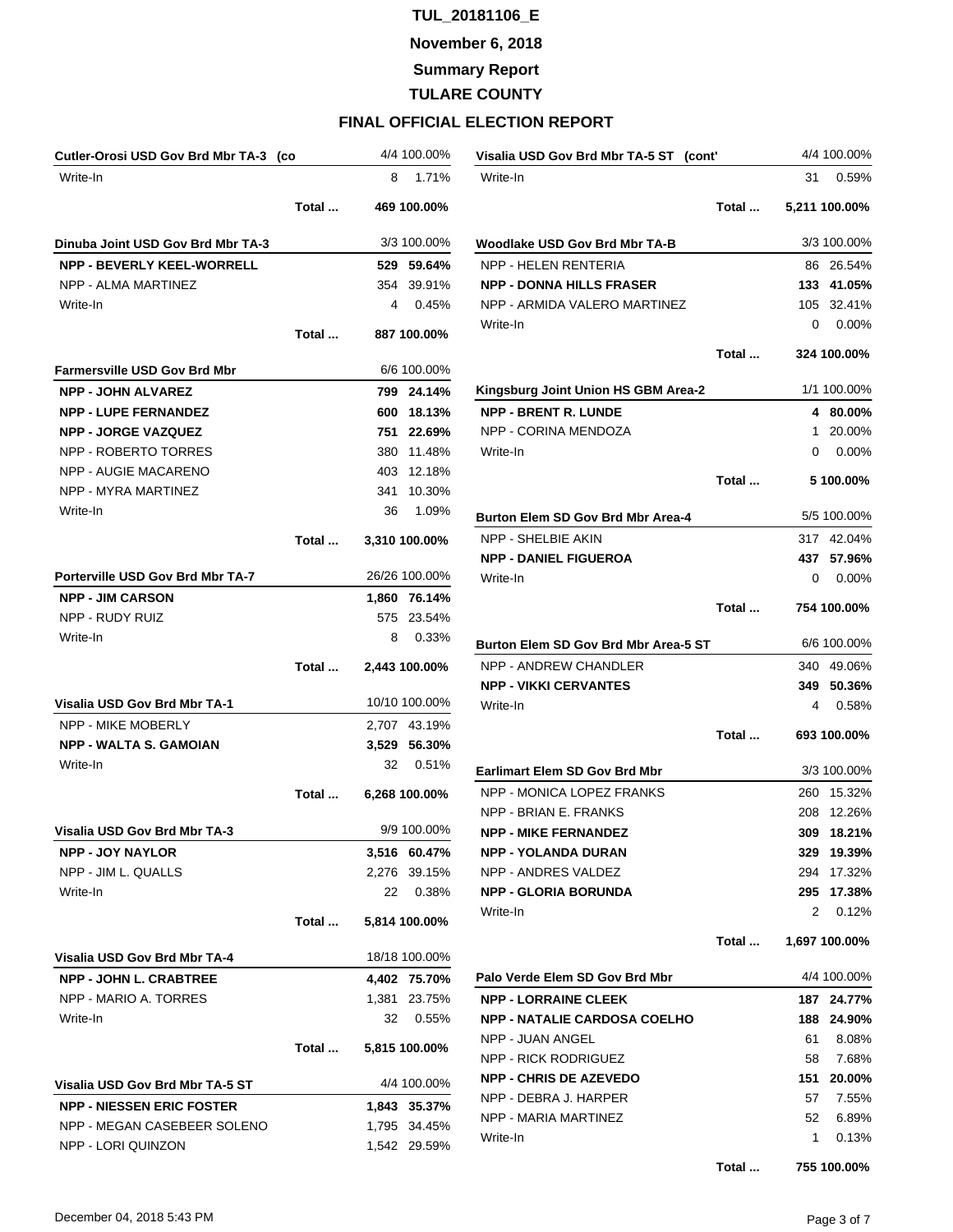**November 6, 2018**

**Summary Report**

**TULARE COUNTY**

| Cutler-Orosi USD Gov Brd Mbr TA-3 (co |       |      | 4/4 100.00%   |
|---------------------------------------|-------|------|---------------|
| Write-In                              |       | 8    | 1.71%         |
|                                       | Total |      | 469 100.00%   |
| Dinuba Joint USD Gov Brd Mbr TA-3     |       |      | 3/3 100.00%   |
| <b>NPP - BEVERLY KEEL-WORRELL</b>     |       |      | 529 59.64%    |
| NPP - ALMA MARTINEZ                   |       |      | 354 39.91%    |
| Write-In                              |       | 4    | 0.45%         |
|                                       | Total |      | 887 100.00%   |
| <b>Farmersville USD Gov Brd Mbr</b>   |       |      | 6/6 100.00%   |
| <b>NPP - JOHN ALVAREZ</b>             |       |      | 799 24.14%    |
| <b>NPP - LUPE FERNANDEZ</b>           |       |      | 600 18.13%    |
| <b>NPP - JORGE VAZQUEZ</b>            |       |      | 751 22.69%    |
| NPP - ROBERTO TORRES                  |       |      | 380 11.48%    |
| NPP - AUGIE MACARENO                  |       |      | 403 12.18%    |
| NPP - MYRA MARTINEZ                   |       | 341  | 10.30%        |
| Write-In                              |       | 36   | 1.09%         |
|                                       | Total |      | 3,310 100.00% |
| Porterville USD Gov Brd Mbr TA-7      |       |      | 26/26 100.00% |
| <b>NPP - JIM CARSON</b>               |       |      | 1.860 76.14%  |
| NPP - RUDY RUIZ                       |       |      | 575 23.54%    |
| Write-In                              |       | 8    | 0.33%         |
|                                       | Total |      | 2,443 100.00% |
| Visalia USD Gov Brd Mbr TA-1          |       |      | 10/10 100.00% |
| <b>NPP - MIKE MOBERLY</b>             |       |      | 2,707 43.19%  |
| <b>NPP - WALTA S. GAMOIAN</b>         |       |      | 3,529 56.30%  |
| Write-In                              |       | 32   | 0.51%         |
|                                       | Total |      | 6,268 100.00% |
| <b>Visalia USD Gov Brd Mbr TA-3</b>   |       |      | 9/9 100.00%   |
| <b>NPP - JOY NAYLOR</b>               |       |      | 3,516 60.47%  |
| <b>NPP - JIM L. QUALLS</b>            |       |      | 2,276 39.15%  |
| Write-In                              |       | 22 — | 0.38%         |
|                                       | Total |      | 5,814 100.00% |
| Visalia USD Gov Brd Mbr TA-4          |       |      | 18/18 100.00% |
| <b>NPP - JOHN L. CRABTREE</b>         |       |      | 4,402 75.70%  |
| NPP - MARIO A. TORRES                 |       |      | 1,381 23.75%  |
| Write-In                              |       | 32   | 0.55%         |
|                                       | Total |      | 5,815 100.00% |
| Visalia USD Gov Brd Mbr TA-5 ST       |       |      | 4/4 100.00%   |
| <b>NPP - NIESSEN ERIC FOSTER</b>      |       |      | 1,843 35.37%  |
| NPP - MEGAN CASEBEER SOLENO           |       |      | 1,795 34.45%  |
|                                       |       |      |               |

| Visalia USD Gov Brd Mbr TA-5 ST (cont' |       |     | 4/4 100.00%   |
|----------------------------------------|-------|-----|---------------|
| Write-In                               |       | 31  | 0.59%         |
|                                        | Total |     | 5,211 100.00% |
| <b>Woodlake USD Gov Brd Mbr TA-B</b>   |       |     | 3/3 100.00%   |
| <b>NPP - HELEN RENTERIA</b>            |       | 86  | 26.54%        |
| <b>NPP - DONNA HILLS FRASER</b>        |       |     | 133 41.05%    |
| NPP - ARMIDA VALERO MARTINEZ           |       | 105 | 32.41%        |
| Write-In                               |       | 0   | 0.00%         |
|                                        | Total |     | 324 100.00%   |
| Kingsburg Joint Union HS GBM Area-2    |       |     | 1/1 100.00%   |
| <b>NPP - BRENT R. LUNDE</b>            |       |     | 4 80.00%      |
| NPP - CORINA MENDOZA                   |       | 1   | 20.00%        |
| Write-In                               |       | 0   | 0.00%         |
|                                        | Total |     | 5 100.00%     |
|                                        |       |     |               |
| Burton Elem SD Gov Brd Mbr Area-4      |       |     | 5/5 100.00%   |
| NPP - SHELBIE AKIN                     |       | 317 | 42.04%        |
| <b>NPP - DANIEL FIGUEROA</b>           |       | 437 | 57.96%        |
| Write-In                               |       | 0   | 0.00%         |
|                                        | Total |     | 754 100.00%   |
| Burton Elem SD Gov Brd Mbr Area-5 ST   |       |     | 6/6 100.00%   |
| NPP - ANDREW CHANDLER                  |       | 340 | 49.06%        |
| <b>NPP - VIKKI CERVANTES</b>           |       |     | 349 50.36%    |
| Write-In                               |       | 4   | 0.58%         |
|                                        | Total |     | 693 100.00%   |
| <b>Earlimart Elem SD Gov Brd Mbr</b>   |       |     | 3/3 100.00%   |
| NPP - MONICA LOPEZ FRANKS              |       | 260 | 15.32%        |
| NPP - BRIAN E. FRANKS                  |       |     | 208 12.26%    |
| <b>NPP - MIKE FERNANDEZ</b>            |       | 309 | 18.21%        |
| <b>NPP - YOLANDA DURAN</b>             |       | 329 | 19.39%        |
| NPP - ANDRES VALDEZ                    |       | 294 | 17.32%        |
| <b>NPP - GLORIA BORUNDA</b>            |       | 295 | 17.38%        |
| Write-In                               |       | 2   | 0.12%         |
|                                        | Total |     | 1,697 100.00% |
| Palo Verde Elem SD Gov Brd Mbr         |       |     | 4/4 100.00%   |
| <b>NPP - LORRAINE CLEEK</b>            |       | 187 | 24.77%        |
| <b>NPP - NATALIE CARDOSA COELHO</b>    |       | 188 | 24.90%        |
| <b>NPP - JUAN ANGEL</b>                |       | 61  | 8.08%         |
| NPP - RICK RODRIGUEZ                   |       | 58  | 7.68%         |
| <b>NPP - CHRIS DE AZEVEDO</b>          |       | 151 | 20.00%        |
| NPP - DEBRA J. HARPER                  |       | 57  | 7.55%         |
| NPP - MARIA MARTINEZ                   |       | 52  | 6.89%         |
| Write-In                               |       | 1.  | 0.13%         |
|                                        | Total |     | 755 100.00%   |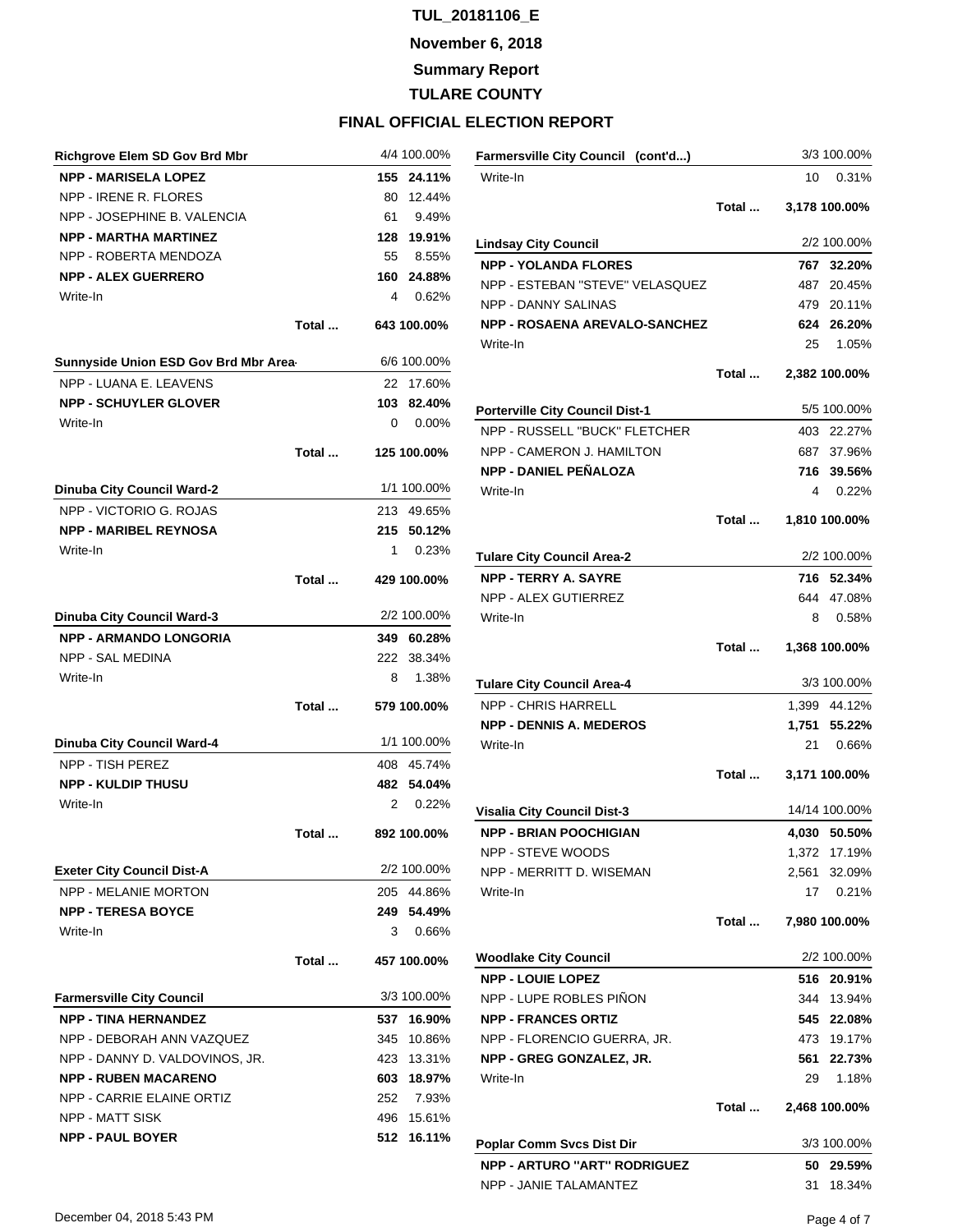**November 6, 2018**

**Summary Report**

**TULARE COUNTY**

| <b>Richgrove Elem SD Gov Brd Mbr</b>  |       |              | 4/4 100.00% |
|---------------------------------------|-------|--------------|-------------|
| <b>NPP - MARISELA LOPEZ</b>           |       | 155          | 24.11%      |
| NPP - IRENE R. FLORES                 |       | 80           | 12.44%      |
| NPP - JOSEPHINE B. VALENCIA           |       | 61           | 9.49%       |
| <b>NPP - MARTHA MARTINEZ</b>          |       | 128          | 19.91%      |
| NPP - ROBERTA MENDOZA                 |       | 55           | 8.55%       |
| <b>NPP - ALEX GUERRERO</b>            |       | 160          | 24.88%      |
| Write-In                              |       | 4            | 0.62%       |
|                                       | Total |              | 643 100.00% |
| Sunnyside Union ESD Gov Brd Mbr Area- |       |              | 6/6 100.00% |
| NPP - LUANA E. LEAVENS                |       | 22           | 17.60%      |
| <b>NPP - SCHUYLER GLOVER</b>          |       | 103          | 82.40%      |
| Write-In                              |       | 0            | 0.00%       |
|                                       | Total |              | 125 100.00% |
| Dinuba City Council Ward-2            |       |              | 1/1 100.00% |
| NPP - VICTORIO G. ROJAS               |       |              | 213 49.65%  |
| <b>NPP - MARIBEL REYNOSA</b>          |       | 215          | 50.12%      |
| Write-In                              |       | 1            | 0.23%       |
|                                       | Total |              | 429 100.00% |
| Dinuba City Council Ward-3            |       |              | 2/2 100.00% |
| <b>NPP - ARMANDO LONGORIA</b>         |       |              | 349 60.28%  |
| <b>NPP - SAL MEDINA</b>               |       | 222          | 38.34%      |
| Write-In                              |       | 8            | 1.38%       |
|                                       |       |              |             |
|                                       | Total |              | 579 100.00% |
| Dinuba City Council Ward-4            |       |              | 1/1 100.00% |
| NPP - TISH PEREZ                      |       | 408          | 45.74%      |
| <b>NPP - KULDIP THUSU</b>             |       | 482          | 54.04%      |
| Write-In                              |       | $\mathbf{2}$ | 0.22%       |
|                                       | Total |              | 892 100.00% |
| <b>Exeter City Council Dist-A</b>     |       |              | 2/2 100.00% |
| <b>NPP - MELANIE MORTON</b>           |       | 205          | 44.86%      |
| <b>NPP - TERESA BOYCE</b>             |       | 249          | 54.49%      |
| Write-In                              |       | 3            | 0.66%       |
|                                       | Total |              | 457 100.00% |
| <b>Farmersville City Council</b>      |       |              | 3/3 100.00% |
| <b>NPP - TINA HERNANDEZ</b>           |       | 537          | 16.90%      |
| NPP - DEBORAH ANN VAZQUEZ             |       | 345          | 10.86%      |
| NPP - DANNY D. VALDOVINOS, JR.        |       | 423          | 13.31%      |
| <b>NPP - RUBEN MACARENO</b>           |       | 603          | 18.97%      |
| NPP - CARRIE ELAINE ORTIZ             |       | 252          | 7.93%       |
| NPP - MATT SISK                       |       | 496          | 15.61%      |
| <b>NPP - PAUL BOYER</b>               |       | 512          | 16.11%      |
|                                       |       |              |             |

| Farmersville City Council (cont'd)     |       |    | 3/3 100.00%   |
|----------------------------------------|-------|----|---------------|
| Write-In                               |       | 10 | 0.31%         |
|                                        | Total |    | 3,178 100.00% |
| <b>Lindsay City Council</b>            |       |    | 2/2 100.00%   |
| <b>NPP - YOLANDA FLORES</b>            |       |    | 767 32.20%    |
| NPP - ESTEBAN "STEVE" VELASQUEZ        |       |    | 487 20.45%    |
| <b>NPP - DANNY SALINAS</b>             |       |    | 479 20.11%    |
| <b>NPP - ROSAENA AREVALO-SANCHEZ</b>   |       |    | 624 26.20%    |
| Write-In                               |       | 25 | 1.05%         |
|                                        | Total |    | 2,382 100.00% |
| <b>Porterville City Council Dist-1</b> |       |    | 5/5 100.00%   |
| NPP - RUSSELL "BUCK" FLETCHER          |       |    | 403 22.27%    |
| NPP - CAMERON J. HAMILTON              |       |    | 687 37.96%    |
| <b>NPP - DANIEL PEÑALOZA</b>           |       |    | 716 39.56%    |
| Write-In                               |       | 4  | 0.22%         |
|                                        | Total |    | 1,810 100.00% |
| <b>Tulare City Council Area-2</b>      |       |    | 2/2 100.00%   |
| <b>NPP - TERRY A. SAYRE</b>            |       |    | 716 52.34%    |
| NPP - ALEX GUTIERREZ                   |       |    | 644 47.08%    |
| Write-In                               |       | 8  | 0.58%         |
|                                        | Total |    | 1,368 100.00% |
| <b>Tulare City Council Area-4</b>      |       |    | 3/3 100.00%   |
| <b>NPP - CHRIS HARRELL</b>             |       |    | 1,399 44.12%  |
| <b>NPP - DENNIS A. MEDEROS</b>         |       |    | 1,751 55.22%  |
| Write-In                               |       | 21 | 0.66%         |
|                                        | Total |    | 3,171 100.00% |
| <b>Visalia City Council Dist-3</b>     |       |    | 14/14 100.00% |
| <b>NPP - BRIAN POOCHIGIAN</b>          |       |    | 4,030 50.50%  |
| NPP - STEVE WOODS                      |       |    | 1,372 17.19%  |
| NPP - MERRITT D. WISEMAN               |       |    | 2,561 32.09%  |
| Write-In                               |       |    | 17 0.21%      |
|                                        | Total |    | 7,980 100.00% |
| <b>Woodlake City Council</b>           |       |    | 2/2 100.00%   |
| <b>NPP - LOUIE LOPEZ</b>               |       |    | 516 20.91%    |
| NPP - LUPE ROBLES PINON                |       |    | 344 13.94%    |
| <b>NPP - FRANCES ORTIZ</b>             |       |    | 545 22.08%    |
| NPP - FLORENCIO GUERRA, JR.            |       |    | 473 19.17%    |
| NPP - GREG GONZALEZ, JR.               |       |    | 561 22.73%    |
| Write-In                               |       | 29 | 1.18%         |
|                                        | Total |    | 2,468 100.00% |
| <b>Poplar Comm Svcs Dist Dir</b>       |       |    | 3/3 100.00%   |
| <b>NPP - ARTURO "ART" RODRIGUEZ</b>    |       |    | 50 29.59%     |
| NPP - JANIE TALAMANTEZ                 |       | 31 | 18.34%        |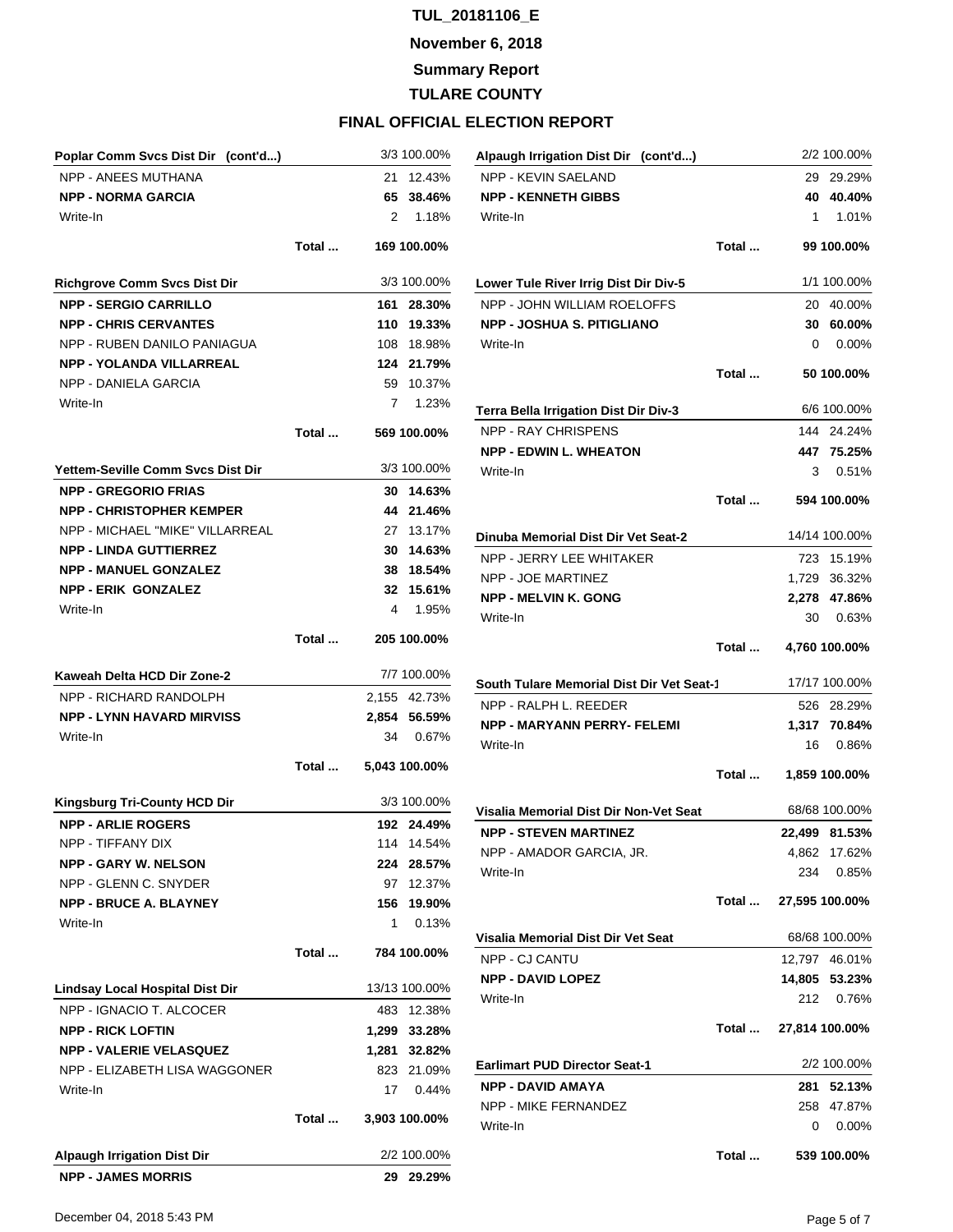**November 6, 2018**

**Summary Report**

**TULARE COUNTY**

### **FINAL OFFICIAL ELECTION REPORT**

| Poplar Comm Svcs Dist Dir (cont'd)  |       | 3/3 100.00%           | Alpaugh Irrigation Dist Dir (cont'd)      |       |                | 2/2 100.00% |
|-------------------------------------|-------|-----------------------|-------------------------------------------|-------|----------------|-------------|
| <b>NPP - ANEES MUTHANA</b>          |       | 21 12.43%             | NPP - KEVIN SAELAND                       |       |                | 29 29.29%   |
| <b>NPP - NORMA GARCIA</b>           |       | 65 38.46%             | <b>NPP - KENNETH GIBBS</b>                |       |                | 40 40.40%   |
| Write-In                            |       | 2<br>1.18%            | Write-In                                  |       | 1              | 1.01%       |
|                                     | Total | 169 100.00%           |                                           | Total |                | 99 100.00%  |
| <b>Richgrove Comm Svcs Dist Dir</b> |       | 3/3 100.00%           | Lower Tule River Irrig Dist Dir Div-5     |       |                | 1/1 100.00% |
| <b>NPP - SERGIO CARRILLO</b>        |       | 161 28.30%            | NPP - JOHN WILLIAM ROELOFFS               |       |                | 20 40.00%   |
| <b>NPP - CHRIS CERVANTES</b>        |       | 110 19.33%            | <b>NPP - JOSHUA S. PITIGLIANO</b>         |       |                | 30 60.00%   |
| NPP - RUBEN DANILO PANIAGUA         |       | 108 18.98%            | Write-In                                  |       | 0              | 0.00%       |
| <b>NPP - YOLANDA VILLARREAL</b>     |       | 124 21.79%            |                                           | Total |                | 50 100.00%  |
| NPP - DANIELA GARCIA                |       | 59 10.37%             |                                           |       |                |             |
| Write-In                            |       | 1.23%<br>$\mathbf{7}$ | Terra Bella Irrigation Dist Dir Div-3     |       |                | 6/6 100.00% |
|                                     | Total | 569 100.00%           | NPP - RAY CHRISPENS                       |       |                | 144 24.24%  |
|                                     |       |                       | <b>NPP - EDWIN L. WHEATON</b>             |       |                | 447 75.25%  |
| Yettem-Seville Comm Svcs Dist Dir   |       | 3/3 100.00%           | Write-In                                  |       | 3              | 0.51%       |
| <b>NPP - GREGORIO FRIAS</b>         |       | 30 14.63%             |                                           |       |                |             |
| <b>NPP - CHRISTOPHER KEMPER</b>     |       | 44 21.46%             |                                           | Total |                | 594 100.00% |
| NPP - MICHAEL "MIKE" VILLARREAL     |       | 27 13.17%             | Dinuba Memorial Dist Dir Vet Seat-2       |       | 14/14 100.00%  |             |
| <b>NPP - LINDA GUTTIERREZ</b>       |       | 30 14.63%             | NPP - JERRY LEE WHITAKER                  |       |                | 723 15.19%  |
| <b>NPP - MANUEL GONZALEZ</b>        |       | 38 18.54%             | NPP - JOE MARTINEZ                        |       | 1,729 36.32%   |             |
| <b>NPP - ERIK GONZALEZ</b>          |       | 32 15.61%             | <b>NPP - MELVIN K. GONG</b>               |       | 2,278 47.86%   |             |
| Write-In                            |       | 4<br>1.95%            | Write-In                                  |       | 30             | 0.63%       |
|                                     | Total | 205 100.00%           |                                           |       |                |             |
|                                     |       |                       |                                           | Total | 4,760 100.00%  |             |
| Kaweah Delta HCD Dir Zone-2         |       | 7/7 100.00%           | South Tulare Memorial Dist Dir Vet Seat-1 |       | 17/17 100.00%  |             |
| NPP - RICHARD RANDOLPH              |       | 2,155 42.73%          | NPP - RALPH L. REEDER                     |       |                | 526 28.29%  |
| <b>NPP - LYNN HAVARD MIRVISS</b>    |       | 2,854 56.59%          | NPP - MARYANN PERRY- FELEMI               |       | 1,317 70.84%   |             |
| Write-In                            |       | 34 0.67%              | Write-In                                  |       | 16             | 0.86%       |
|                                     | Total | 5,043 100.00%         |                                           | Total | 1,859 100.00%  |             |
| <b>Kingsburg Tri-County HCD Dir</b> |       | 3/3 100.00%           |                                           |       |                |             |
| <b>NPP - ARLIE ROGERS</b>           |       | 192 24.49%            | Visalia Memorial Dist Dir Non-Vet Seat    |       | 68/68 100.00%  |             |
| NPP - TIFFANY DIX                   |       | 114 14.54%            | <b>NPP - STEVEN MARTINEZ</b>              |       | 22,499 81.53%  |             |
| <b>NPP - GARY W. NELSON</b>         |       | 224 28.57%            | NPP - AMADOR GARCIA, JR.                  |       | 4,862 17.62%   |             |
| NPP - GLENN C. SNYDER               |       | 97 12.37%             | Write-In                                  |       | 234            | 0.85%       |
| <b>NPP - BRUCE A. BLAYNEY</b>       |       | 156 19.90%            |                                           | Total | 27,595 100.00% |             |
| Write-In                            |       | 0.13%<br>1            |                                           |       |                |             |
|                                     |       |                       | Visalia Memorial Dist Dir Vet Seat        |       | 68/68 100.00%  |             |
|                                     | Total | 784 100.00%           | NPP - CJ CANTU                            |       | 12,797 46.01%  |             |
| Lindsay Local Hospital Dist Dir     |       | 13/13 100.00%         | <b>NPP - DAVID LOPEZ</b>                  |       | 14,805 53.23%  |             |
| NPP - IGNACIO T. ALCOCER            |       | 483 12.38%            | Write-In                                  |       | 212            | 0.76%       |
| <b>NPP - RICK LOFTIN</b>            |       | 1,299 33.28%          |                                           | Total | 27,814 100.00% |             |
| <b>NPP - VALERIE VELASQUEZ</b>      |       | 1,281 32.82%          |                                           |       |                |             |
| NPP - ELIZABETH LISA WAGGONER       |       | 823 21.09%            | <b>Earlimart PUD Director Seat-1</b>      |       |                | 2/2 100.00% |
| Write-In                            |       | 17<br>0.44%           | <b>NPP - DAVID AMAYA</b>                  |       | 281            | 52.13%      |
|                                     |       |                       | NPP - MIKE FERNANDEZ                      |       |                | 258 47.87%  |
|                                     | Total | 3,903 100.00%         | Write-In                                  |       | 0              | 0.00%       |
| <b>Alpaugh Irrigation Dist Dir</b>  |       | 2/2 100.00%           |                                           | Total |                | 539 100.00% |
| <b>NPP - JAMES MORRIS</b>           |       | 29 29.29%             |                                           |       |                |             |
|                                     |       |                       |                                           |       |                |             |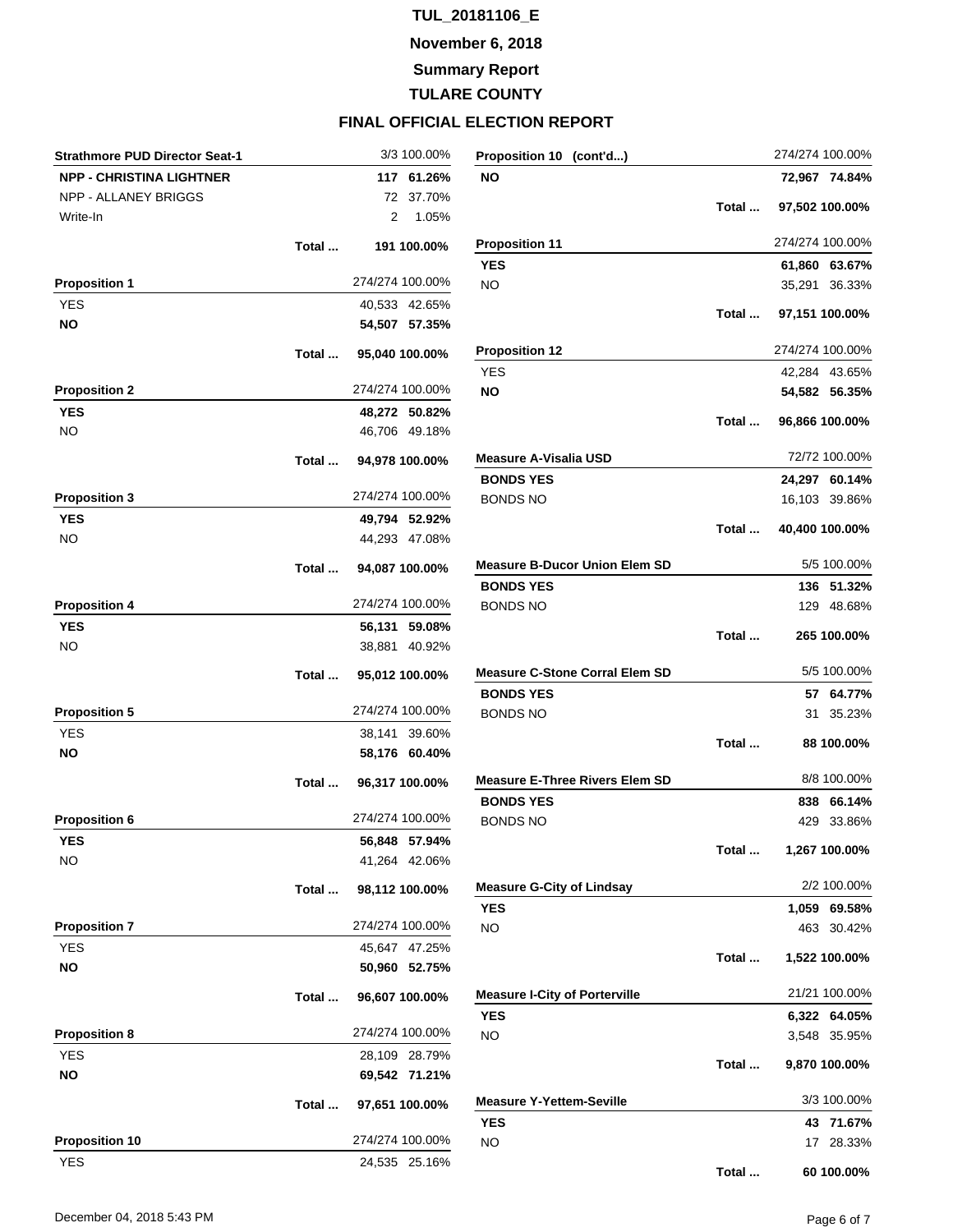**November 6, 2018**

**Summary Report**

**TULARE COUNTY**

| <b>Strathmore PUD Director Seat-1</b> |       |                 | 3/3 100.00% | Proposition 10 (cont'd)               |       |    | 274/274 100.00% |
|---------------------------------------|-------|-----------------|-------------|---------------------------------------|-------|----|-----------------|
| <b>NPP - CHRISTINA LIGHTNER</b>       |       |                 | 117 61.26%  | NO                                    |       |    | 72,967 74.84%   |
| NPP - ALLANEY BRIGGS                  |       |                 | 72 37.70%   |                                       |       |    |                 |
| Write-In                              |       | 2               | 1.05%       |                                       | Total |    | 97,502 100.00%  |
|                                       | Total |                 | 191 100.00% | <b>Proposition 11</b>                 |       |    | 274/274 100.00% |
|                                       |       |                 |             | <b>YES</b>                            |       |    | 61,860 63.67%   |
| <b>Proposition 1</b>                  |       | 274/274 100.00% |             | <b>NO</b>                             |       |    | 35,291 36.33%   |
| <b>YES</b>                            |       | 40,533 42.65%   |             |                                       | Total |    | 97,151 100.00%  |
| <b>NO</b>                             |       | 54,507 57.35%   |             |                                       |       |    |                 |
|                                       | Total | 95,040 100.00%  |             | <b>Proposition 12</b>                 |       |    | 274/274 100.00% |
|                                       |       |                 |             | <b>YES</b>                            |       |    | 42,284 43.65%   |
| <b>Proposition 2</b>                  |       | 274/274 100.00% |             | <b>NO</b>                             |       |    | 54,582 56.35%   |
| <b>YES</b>                            |       | 48,272 50.82%   |             |                                       | Total |    | 96,866 100.00%  |
| <b>NO</b>                             |       | 46,706 49.18%   |             |                                       |       |    |                 |
|                                       | Total | 94,978 100.00%  |             | <b>Measure A-Visalia USD</b>          |       |    | 72/72 100.00%   |
|                                       |       |                 |             | <b>BONDS YES</b>                      |       |    | 24,297 60.14%   |
| <b>Proposition 3</b>                  |       | 274/274 100.00% |             | <b>BONDS NO</b>                       |       |    | 16,103 39.86%   |
| <b>YES</b>                            |       | 49,794 52.92%   |             |                                       | Total |    | 40,400 100.00%  |
| <b>NO</b>                             |       | 44,293 47.08%   |             |                                       |       |    |                 |
|                                       | Total | 94,087 100.00%  |             | <b>Measure B-Ducor Union Elem SD</b>  |       |    | 5/5 100.00%     |
|                                       |       |                 |             | <b>BONDS YES</b>                      |       |    | 136 51.32%      |
| <b>Proposition 4</b>                  |       | 274/274 100.00% |             | <b>BONDS NO</b>                       |       |    | 129 48.68%      |
| <b>YES</b>                            |       | 56,131 59.08%   |             |                                       | Total |    | 265 100.00%     |
| <b>NO</b>                             |       | 38,881 40.92%   |             |                                       |       |    |                 |
|                                       | Total | 95,012 100.00%  |             | <b>Measure C-Stone Corral Elem SD</b> |       |    | 5/5 100.00%     |
|                                       |       |                 |             | <b>BONDS YES</b>                      |       |    | 57 64.77%       |
| <b>Proposition 5</b>                  |       | 274/274 100.00% |             | <b>BONDS NO</b>                       |       | 31 | 35.23%          |
| <b>YES</b>                            |       | 38,141 39.60%   |             |                                       | Total |    | 88 100.00%      |
| <b>NO</b>                             |       | 58,176 60.40%   |             |                                       |       |    |                 |
|                                       | Total | 96,317 100.00%  |             | <b>Measure E-Three Rivers Elem SD</b> |       |    | 8/8 100.00%     |
|                                       |       |                 |             | <b>BONDS YES</b>                      |       |    | 838 66.14%      |
| <b>Proposition 6</b>                  |       | 274/274 100.00% |             | <b>BONDS NO</b>                       |       |    | 429 33.86%      |
| <b>YES</b>                            |       | 56,848 57.94%   |             |                                       | Total |    | 1,267 100.00%   |
| <b>NO</b>                             |       | 41,264 42.06%   |             |                                       |       |    |                 |
|                                       | Total | 98,112 100.00%  |             | <b>Measure G-City of Lindsay</b>      |       |    | 2/2 100.00%     |
|                                       |       | 274/274 100.00% |             | <b>YES</b>                            |       |    | 1,059 69.58%    |
| <b>Proposition 7</b>                  |       |                 |             | <b>NO</b>                             |       |    | 463 30.42%      |
| <b>YES</b>                            |       | 45,647 47.25%   |             |                                       | Total |    | 1,522 100.00%   |
| <b>NO</b>                             |       | 50,960 52.75%   |             |                                       |       |    |                 |
|                                       | Total | 96,607 100.00%  |             | <b>Measure I-City of Porterville</b>  |       |    | 21/21 100.00%   |
|                                       |       |                 |             | <b>YES</b>                            |       |    | 6,322 64.05%    |
| <b>Proposition 8</b>                  |       | 274/274 100.00% |             | <b>NO</b>                             |       |    | 3,548 35.95%    |
| <b>YES</b>                            |       | 28,109 28.79%   |             |                                       | Total |    | 9,870 100.00%   |
| <b>NO</b>                             |       | 69,542 71.21%   |             |                                       |       |    |                 |
|                                       | Total | 97,651 100.00%  |             | <b>Measure Y-Yettem-Seville</b>       |       |    | 3/3 100.00%     |
|                                       |       |                 |             | <b>YES</b>                            |       |    | 43 71.67%       |
| <b>Proposition 10</b>                 |       | 274/274 100.00% |             | <b>NO</b>                             |       |    | 17 28.33%       |
| <b>YES</b>                            |       | 24,535 25.16%   |             |                                       | Total |    | 60 100.00%      |